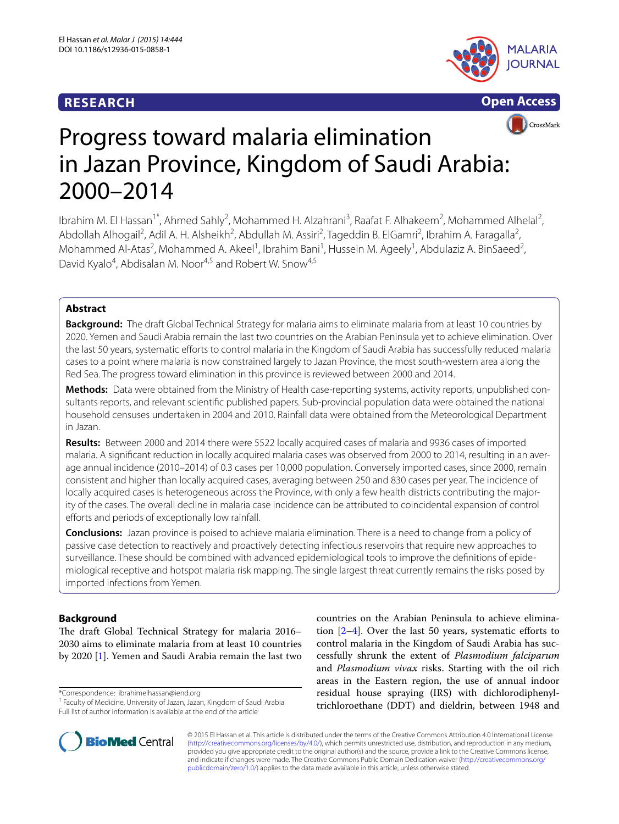# **RESEARCH**





# Progress toward malaria elimination in Jazan Province, Kingdom of Saudi Arabia: 2000–2014

Ibrahim M. El Hassan<sup>1\*</sup>, Ahmed Sahly<sup>2</sup>, Mohammed H. Alzahrani<sup>3</sup>, Raafat F. Alhakeem<sup>2</sup>, Mohammed Alhelal<sup>2</sup>, Abdollah Alhogail<sup>2</sup>, Adil A. H. Alsheikh<sup>2</sup>, Abdullah M. Assiri<sup>2</sup>, Tageddin B. ElGamri<sup>2</sup>, Ibrahim A. Faragalla<sup>2</sup>, Mohammed Al-Atas<sup>2</sup>, Mohammed A. Akeel<sup>1</sup>, Ibrahim Bani<sup>1</sup>, Hussein M. Ageely<sup>1</sup>, Abdulaziz A. BinSaeed<sup>2</sup>, David Kyalo<sup>4</sup>, Abdisalan M. Noor<sup>4,5</sup> and Robert W. Snow<sup>4,5</sup>

# **Abstract**

**Background:** The draft Global Technical Strategy for malaria aims to eliminate malaria from at least 10 countries by 2020. Yemen and Saudi Arabia remain the last two countries on the Arabian Peninsula yet to achieve elimination. Over the last 50 years, systematic efforts to control malaria in the Kingdom of Saudi Arabia has successfully reduced malaria cases to a point where malaria is now constrained largely to Jazan Province, the most south-western area along the Red Sea. The progress toward elimination in this province is reviewed between 2000 and 2014.

**Methods:** Data were obtained from the Ministry of Health case-reporting systems, activity reports, unpublished consultants reports, and relevant scientific published papers. Sub-provincial population data were obtained the national household censuses undertaken in 2004 and 2010. Rainfall data were obtained from the Meteorological Department in Jazan.

**Results:** Between 2000 and 2014 there were 5522 locally acquired cases of malaria and 9936 cases of imported malaria. A significant reduction in locally acquired malaria cases was observed from 2000 to 2014, resulting in an average annual incidence (2010–2014) of 0.3 cases per 10,000 population. Conversely imported cases, since 2000, remain consistent and higher than locally acquired cases, averaging between 250 and 830 cases per year. The incidence of locally acquired cases is heterogeneous across the Province, with only a few health districts contributing the majority of the cases. The overall decline in malaria case incidence can be attributed to coincidental expansion of control efforts and periods of exceptionally low rainfall.

**Conclusions:** Jazan province is poised to achieve malaria elimination. There is a need to change from a policy of passive case detection to reactively and proactively detecting infectious reservoirs that require new approaches to surveillance. These should be combined with advanced epidemiological tools to improve the definitions of epidemiological receptive and hotspot malaria risk mapping. The single largest threat currently remains the risks posed by imported infections from Yemen.

# **Background**

The draft Global Technical Strategy for malaria 2016– 2030 aims to eliminate malaria from at least 10 countries by 2020 [\[1](#page-8-0)]. Yemen and Saudi Arabia remain the last two

\*Correspondence: ibrahimelhassan@iend.org

<sup>1</sup> Faculty of Medicine, University of Jazan, Jazan, Kingdom of Saudi Arabia Full list of author information is available at the end of the article

countries on the Arabian Peninsula to achieve elimination  $[2-4]$  $[2-4]$ . Over the last 50 years, systematic efforts to control malaria in the Kingdom of Saudi Arabia has successfully shrunk the extent of Plasmodium falciparum and Plasmodium vivax risks. Starting with the oil rich areas in the Eastern region, the use of annual indoor residual house spraying (IRS) with dichlorodiphenyltrichloroethane (DDT) and dieldrin, between 1948 and



© 2015 El Hassan et al. This article is distributed under the terms of the Creative Commons Attribution 4.0 International License [\(http://creativecommons.org/licenses/by/4.0/\)](http://creativecommons.org/licenses/by/4.0/), which permits unrestricted use, distribution, and reproduction in any medium, provided you give appropriate credit to the original author(s) and the source, provide a link to the Creative Commons license, and indicate if changes were made. The Creative Commons Public Domain Dedication waiver ([http://creativecommons.org/](http://creativecommons.org/publicdomain/zero/1.0/) [publicdomain/zero/1.0/](http://creativecommons.org/publicdomain/zero/1.0/)) applies to the data made available in this article, unless otherwise stated.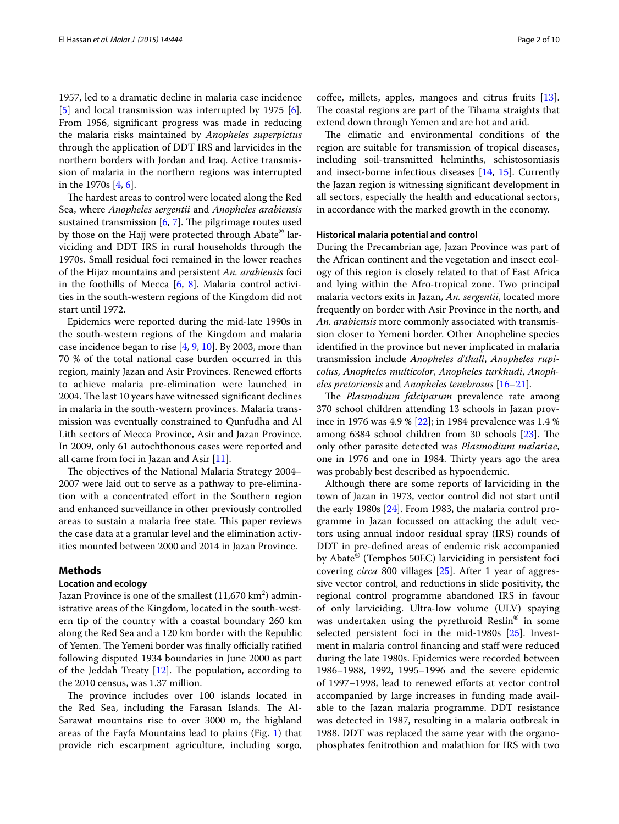1957, led to a dramatic decline in malaria case incidence [[5\]](#page-8-3) and local transmission was interrupted by 1975 [\[6](#page-8-4)]. From 1956, significant progress was made in reducing the malaria risks maintained by Anopheles superpictus through the application of DDT IRS and larvicides in the northern borders with Jordan and Iraq. Active transmission of malaria in the northern regions was interrupted in the 1970s [\[4](#page-8-2), [6\]](#page-8-4).

The hardest areas to control were located along the Red Sea, where Anopheles sergentii and Anopheles arabiensis sustained transmission [\[6](#page-8-4), [7\]](#page-8-5). The pilgrimage routes used by those on the Hajj were protected through Abate® larviciding and DDT IRS in rural households through the 1970s. Small residual foci remained in the lower reaches of the Hijaz mountains and persistent An. arabiensis foci in the foothills of Mecca  $[6, 8]$  $[6, 8]$  $[6, 8]$  $[6, 8]$  $[6, 8]$ . Malaria control activities in the south-western regions of the Kingdom did not start until 1972.

Epidemics were reported during the mid-late 1990s in the south-western regions of the Kingdom and malaria case incidence began to rise [\[4](#page-8-2), [9,](#page-8-7) [10\]](#page-8-8). By 2003, more than 70 % of the total national case burden occurred in this region, mainly Jazan and Asir Provinces. Renewed efforts to achieve malaria pre-elimination were launched in 2004. The last 10 years have witnessed significant declines in malaria in the south-western provinces. Malaria transmission was eventually constrained to Qunfudha and Al Lith sectors of Mecca Province, Asir and Jazan Province. In 2009, only 61 autochthonous cases were reported and all came from foci in Jazan and Asir [\[11](#page-8-9)].

The objectives of the National Malaria Strategy 2004– 2007 were laid out to serve as a pathway to pre-elimination with a concentrated effort in the Southern region and enhanced surveillance in other previously controlled areas to sustain a malaria free state. This paper reviews the case data at a granular level and the elimination activities mounted between 2000 and 2014 in Jazan Province.

#### **Methods**

# **Location and ecology**

Jazan Province is one of the smallest  $(11{,}670~\mathrm{km}^2)$  administrative areas of the Kingdom, located in the south-western tip of the country with a coastal boundary 260 km along the Red Sea and a 120 km border with the Republic of Yemen. The Yemeni border was finally officially ratified following disputed 1934 boundaries in June 2000 as part of the Jeddah Treaty [\[12\]](#page-8-10). The population, according to the 2010 census, was 1.37 million.

The province includes over 100 islands located in the Red Sea, including the Farasan Islands. The Al-Sarawat mountains rise to over 3000 m, the highland areas of the Fayfa Mountains lead to plains (Fig. [1\)](#page-2-0) that provide rich escarpment agriculture, including sorgo,

coffee, millets, apples, mangoes and citrus fruits [\[13](#page-8-11)]. The coastal regions are part of the Tihama straights that extend down through Yemen and are hot and arid.

The climatic and environmental conditions of the region are suitable for transmission of tropical diseases, including soil-transmitted helminths, schistosomiasis and insect-borne infectious diseases [[14,](#page-8-12) [15\]](#page-8-13). Currently the Jazan region is witnessing significant development in all sectors, especially the health and educational sectors, in accordance with the marked growth in the economy.

#### **Historical malaria potential and control**

During the Precambrian age, Jazan Province was part of the African continent and the vegetation and insect ecology of this region is closely related to that of East Africa and lying within the Afro-tropical zone. Two principal malaria vectors exits in Jazan, An. sergentii, located more frequently on border with Asir Province in the north, and An. arabiensis more commonly associated with transmission closer to Yemeni border. Other Anopheline species identified in the province but never implicated in malaria transmission include Anopheles d'thali, Anopheles rupicolus, Anopheles multicolor, Anopheles turkhudi, Anopheles pretoriensis and Anopheles tenebrosus [[16](#page-8-14)[–21](#page-8-15)].

The Plasmodium falciparum prevalence rate among 370 school children attending 13 schools in Jazan province in 1976 was 4.9 % [\[22\]](#page-8-16); in 1984 prevalence was 1.4 % among 6384 school children from 30 schools [\[23\]](#page-8-17). The only other parasite detected was Plasmodium malariae, one in 1976 and one in 1984. Thirty years ago the area was probably best described as hypoendemic.

Although there are some reports of larviciding in the town of Jazan in 1973, vector control did not start until the early 1980s [\[24](#page-8-18)]. From 1983, the malaria control programme in Jazan focussed on attacking the adult vectors using annual indoor residual spray (IRS) rounds of DDT in pre-defined areas of endemic risk accompanied by Abate<sup>®</sup> (Temphos 50EC) larviciding in persistent foci covering circa 800 villages [[25\]](#page-8-19). After 1 year of aggressive vector control, and reductions in slide positivity, the regional control programme abandoned IRS in favour of only larviciding. Ultra-low volume (ULV) spaying was undertaken using the pyrethroid Reslin® in some selected persistent foci in the mid-1980s [\[25](#page-8-19)]. Investment in malaria control financing and staff were reduced during the late 1980s. Epidemics were recorded between 1986–1988, 1992, 1995–1996 and the severe epidemic of 1997–1998, lead to renewed efforts at vector control accompanied by large increases in funding made available to the Jazan malaria programme. DDT resistance was detected in 1987, resulting in a malaria outbreak in 1988. DDT was replaced the same year with the organophosphates fenitrothion and malathion for IRS with two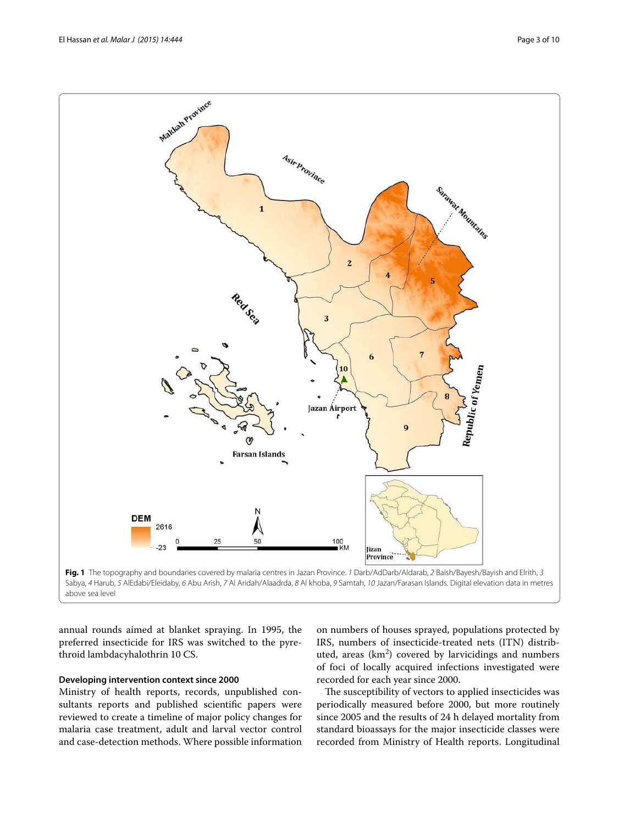El Hassan *et al. Malar J (2015) 14:444* Page 3 of 10



<span id="page-2-0"></span>above sea level

annual rounds aimed at blanket spraying. In 1995, the preferred insecticide for IRS was switched to the pyrethroid lambdacyhalothrin 10 CS.

#### **Developing intervention context since 2000**

Ministry of health reports, records, unpublished consultants reports and published scientific papers were reviewed to create a timeline of major policy changes for malaria case treatment, adult and larval vector control and case-detection methods. Where possible information

on numbers of houses sprayed, populations protected by IRS, numbers of insecticide-treated nets (ITN) distributed, areas  $(km^2)$  covered by larvicidings and numbers of foci of locally acquired infections investigated were recorded for each year since 2000.

The susceptibility of vectors to applied insecticides was periodically measured before 2000, but more routinely since 2005 and the results of 24 h delayed mortality from standard bioassays for the major insecticide classes were recorded from Ministry of Health reports. Longitudinal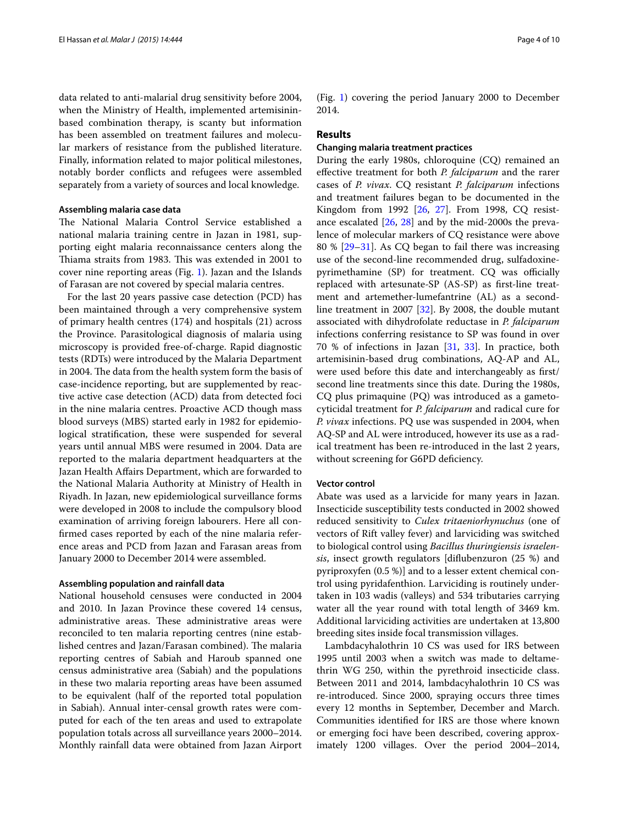data related to anti-malarial drug sensitivity before 2004, when the Ministry of Health, implemented artemisininbased combination therapy, is scanty but information has been assembled on treatment failures and molecular markers of resistance from the published literature. Finally, information related to major political milestones, notably border conflicts and refugees were assembled separately from a variety of sources and local knowledge.

## **Assembling malaria case data**

The National Malaria Control Service established a national malaria training centre in Jazan in 1981, supporting eight malaria reconnaissance centers along the Thiama straits from 1983. This was extended in 2001 to cover nine reporting areas (Fig. [1](#page-2-0)). Jazan and the Islands of Farasan are not covered by special malaria centres.

For the last 20 years passive case detection (PCD) has been maintained through a very comprehensive system of primary health centres (174) and hospitals (21) across the Province. Parasitological diagnosis of malaria using microscopy is provided free-of-charge. Rapid diagnostic tests (RDTs) were introduced by the Malaria Department in 2004. The data from the health system form the basis of case-incidence reporting, but are supplemented by reactive active case detection (ACD) data from detected foci in the nine malaria centres. Proactive ACD though mass blood surveys (MBS) started early in 1982 for epidemiological stratification, these were suspended for several years until annual MBS were resumed in 2004. Data are reported to the malaria department headquarters at the Jazan Health Affairs Department, which are forwarded to the National Malaria Authority at Ministry of Health in Riyadh. In Jazan, new epidemiological surveillance forms were developed in 2008 to include the compulsory blood examination of arriving foreign labourers. Here all confirmed cases reported by each of the nine malaria reference areas and PCD from Jazan and Farasan areas from January 2000 to December 2014 were assembled.

#### **Assembling population and rainfall data**

National household censuses were conducted in 2004 and 2010. In Jazan Province these covered 14 census, administrative areas. These administrative areas were reconciled to ten malaria reporting centres (nine established centres and Jazan/Farasan combined). The malaria reporting centres of Sabiah and Haroub spanned one census administrative area (Sabiah) and the populations in these two malaria reporting areas have been assumed to be equivalent (half of the reported total population in Sabiah). Annual inter-censal growth rates were computed for each of the ten areas and used to extrapolate population totals across all surveillance years 2000–2014. Monthly rainfall data were obtained from Jazan Airport (Fig. [1\)](#page-2-0) covering the period January 2000 to December 2014.

## **Results**

#### **Changing malaria treatment practices**

During the early 1980s, chloroquine (CQ) remained an effective treatment for both *P. falciparum* and the rarer cases of P. vivax. CQ resistant P. falciparum infections and treatment failures began to be documented in the Kingdom from 1992 [[26](#page-8-20), [27\]](#page-8-21). From 1998, CQ resistance escalated [\[26](#page-8-20), [28\]](#page-8-22) and by the mid-2000s the prevalence of molecular markers of CQ resistance were above 80 % [\[29](#page-8-23)[–31\]](#page-8-24). As CQ began to fail there was increasing use of the second-line recommended drug, sulfadoxinepyrimethamine (SP) for treatment. CQ was officially replaced with artesunate-SP (AS-SP) as first-line treatment and artemether-lumefantrine (AL) as a secondline treatment in 2007 [\[32\]](#page-8-25). By 2008, the double mutant associated with dihydrofolate reductase in P. falciparum infections conferring resistance to SP was found in over 70 % of infections in Jazan [\[31](#page-8-24), [33\]](#page-8-26). In practice, both artemisinin-based drug combinations, AQ-AP and AL, were used before this date and interchangeably as first/ second line treatments since this date. During the 1980s, CQ plus primaquine (PQ) was introduced as a gametocyticidal treatment for P. falciparum and radical cure for P. vivax infections. PQ use was suspended in 2004, when AQ-SP and AL were introduced, however its use as a radical treatment has been re-introduced in the last 2 years, without screening for G6PD deficiency.

#### **Vector control**

Abate was used as a larvicide for many years in Jazan. Insecticide susceptibility tests conducted in 2002 showed reduced sensitivity to Culex tritaeniorhynuchus (one of vectors of Rift valley fever) and larviciding was switched to biological control using Bacillus thuringiensis israelensis, insect growth regulators [diflubenzuron (25 %) and pyriproxyfen (0.5 %)] and to a lesser extent chemical control using pyridafenthion. Larviciding is routinely undertaken in 103 wadis (valleys) and 534 tributaries carrying water all the year round with total length of 3469 km. Additional larviciding activities are undertaken at 13,800 breeding sites inside focal transmission villages.

Lambdacyhalothrin 10 CS was used for IRS between 1995 until 2003 when a switch was made to deltamethrin WG 250, within the pyrethroid insecticide class. Between 2011 and 2014, lambdacyhalothrin 10 CS was re-introduced. Since 2000, spraying occurs three times every 12 months in September, December and March. Communities identified for IRS are those where known or emerging foci have been described, covering approximately 1200 villages. Over the period 2004–2014,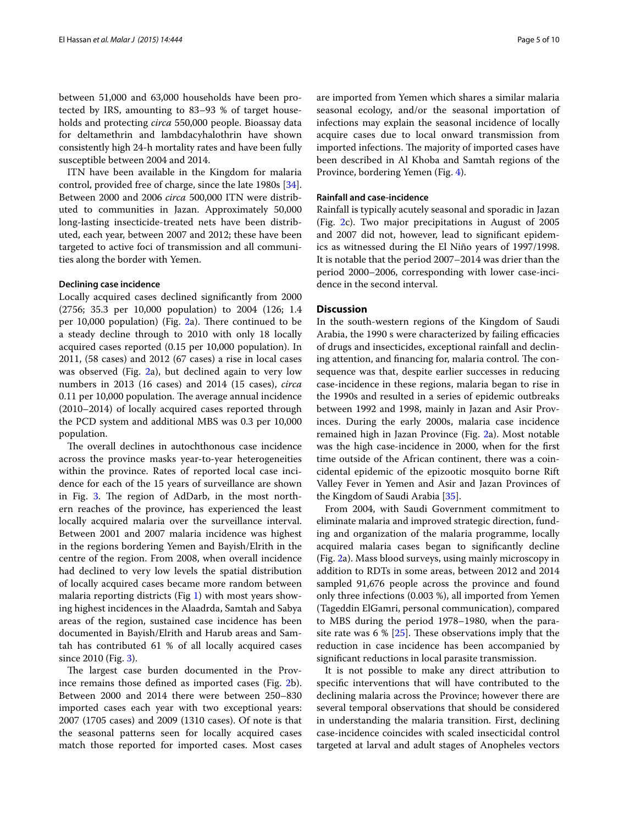between 51,000 and 63,000 households have been protected by IRS, amounting to 83–93 % of target households and protecting *circa* 550,000 people. Bioassay data for deltamethrin and lambdacyhalothrin have shown consistently high 24-h mortality rates and have been fully susceptible between 2004 and 2014.

ITN have been available in the Kingdom for malaria control, provided free of charge, since the late 1980s [\[34](#page-8-27)]. Between 2000 and 2006 circa 500,000 ITN were distributed to communities in Jazan. Approximately 50,000 long-lasting insecticide-treated nets have been distributed, each year, between 2007 and 2012; these have been targeted to active foci of transmission and all communities along the border with Yemen.

#### **Declining case incidence**

Locally acquired cases declined significantly from 2000 (2756; 35.3 per 10,000 population) to 2004 (126; 1.4 per 10,000 population) (Fig. [2a](#page-5-0)). There continued to be a steady decline through to 2010 with only 18 locally acquired cases reported (0.15 per 10,000 population). In 2011, (58 cases) and 2012 (67 cases) a rise in local cases was observed (Fig. [2a](#page-5-0)), but declined again to very low numbers in 2013 (16 cases) and 2014 (15 cases), circa 0.11 per 10,000 population. The average annual incidence (2010–2014) of locally acquired cases reported through the PCD system and additional MBS was 0.3 per 10,000 population.

The overall declines in autochthonous case incidence across the province masks year-to-year heterogeneities within the province. Rates of reported local case incidence for each of the 15 years of surveillance are shown in Fig. [3.](#page-6-0) The region of AdDarb, in the most northern reaches of the province, has experienced the least locally acquired malaria over the surveillance interval. Between 2001 and 2007 malaria incidence was highest in the regions bordering Yemen and Bayish/Elrith in the centre of the region. From 2008, when overall incidence had declined to very low levels the spatial distribution of locally acquired cases became more random between malaria reporting districts (Fig [1](#page-2-0)) with most years showing highest incidences in the Alaadrda, Samtah and Sabya areas of the region, sustained case incidence has been documented in Bayish/Elrith and Harub areas and Samtah has contributed 61 % of all locally acquired cases since 2010 (Fig. [3\)](#page-6-0).

The largest case burden documented in the Province remains those defined as imported cases (Fig. [2b](#page-5-0)). Between 2000 and 2014 there were between 250–830 imported cases each year with two exceptional years: 2007 (1705 cases) and 2009 (1310 cases). Of note is that the seasonal patterns seen for locally acquired cases match those reported for imported cases. Most cases

are imported from Yemen which shares a similar malaria seasonal ecology, and/or the seasonal importation of infections may explain the seasonal incidence of locally acquire cases due to local onward transmission from imported infections. The majority of imported cases have been described in Al Khoba and Samtah regions of the Province, bordering Yemen (Fig. [4](#page-7-0)).

## **Rainfall and case‑incidence**

Rainfall is typically acutely seasonal and sporadic in Jazan (Fig. [2](#page-5-0)c). Two major precipitations in August of 2005 and 2007 did not, however, lead to significant epidemics as witnessed during the El Niño years of 1997/1998. It is notable that the period 2007–2014 was drier than the period 2000–2006, corresponding with lower case-incidence in the second interval.

## **Discussion**

In the south-western regions of the Kingdom of Saudi Arabia, the 1990 s were characterized by failing efficacies of drugs and insecticides, exceptional rainfall and declining attention, and financing for, malaria control. The consequence was that, despite earlier successes in reducing case-incidence in these regions, malaria began to rise in the 1990s and resulted in a series of epidemic outbreaks between 1992 and 1998, mainly in Jazan and Asir Provinces. During the early 2000s, malaria case incidence remained high in Jazan Province (Fig. [2](#page-5-0)a). Most notable was the high case-incidence in 2000, when for the first time outside of the African continent, there was a coincidental epidemic of the epizootic mosquito borne Rift Valley Fever in Yemen and Asir and Jazan Provinces of the Kingdom of Saudi Arabia [[35\]](#page-8-28).

From 2004, with Saudi Government commitment to eliminate malaria and improved strategic direction, funding and organization of the malaria programme, locally acquired malaria cases began to significantly decline (Fig. [2a](#page-5-0)). Mass blood surveys, using mainly microscopy in addition to RDTs in some areas, between 2012 and 2014 sampled 91,676 people across the province and found only three infections (0.003 %), all imported from Yemen (Tageddin ElGamri, personal communication), compared to MBS during the period 1978–1980, when the parasite rate was  $6\%$  [\[25\]](#page-8-19). These observations imply that the reduction in case incidence has been accompanied by significant reductions in local parasite transmission.

It is not possible to make any direct attribution to specific interventions that will have contributed to the declining malaria across the Province; however there are several temporal observations that should be considered in understanding the malaria transition. First, declining case-incidence coincides with scaled insecticidal control targeted at larval and adult stages of Anopheles vectors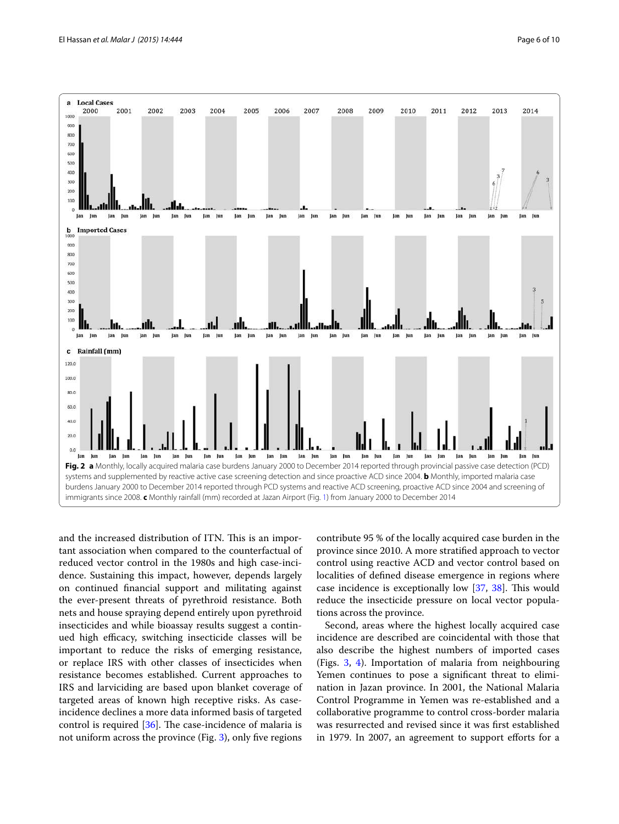

<span id="page-5-0"></span>and the increased distribution of ITN. This is an important association when compared to the counterfactual of reduced vector control in the 1980s and high case-incidence. Sustaining this impact, however, depends largely on continued financial support and militating against the ever-present threats of pyrethroid resistance. Both nets and house spraying depend entirely upon pyrethroid insecticides and while bioassay results suggest a continued high efficacy, switching insecticide classes will be important to reduce the risks of emerging resistance, or replace IRS with other classes of insecticides when resistance becomes established. Current approaches to IRS and larviciding are based upon blanket coverage of targeted areas of known high receptive risks. As caseincidence declines a more data informed basis of targeted control is required [[36\]](#page-8-29). The case-incidence of malaria is not uniform across the province (Fig. [3\)](#page-6-0), only five regions contribute 95 % of the locally acquired case burden in the province since 2010. A more stratified approach to vector control using reactive ACD and vector control based on localities of defined disease emergence in regions where case incidence is exceptionally low [[37](#page-8-30), [38](#page-8-31)]. This would reduce the insecticide pressure on local vector populations across the province.

Second, areas where the highest locally acquired case incidence are described are coincidental with those that also describe the highest numbers of imported cases (Figs. [3,](#page-6-0) [4](#page-7-0)). Importation of malaria from neighbouring Yemen continues to pose a significant threat to elimination in Jazan province. In 2001, the National Malaria Control Programme in Yemen was re-established and a collaborative programme to control cross-border malaria was resurrected and revised since it was first established in 1979. In 2007, an agreement to support efforts for a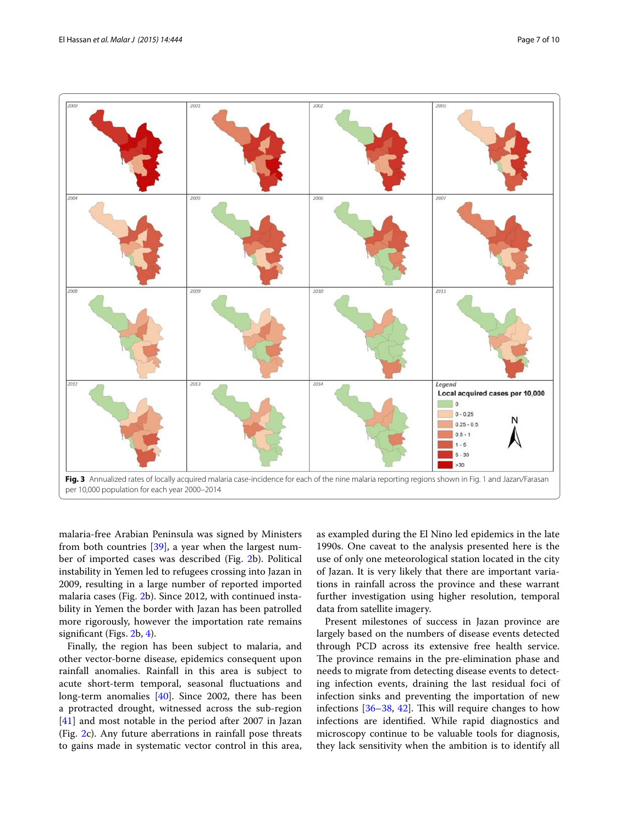

<span id="page-6-0"></span>malaria-free Arabian Peninsula was signed by Ministers from both countries [[39\]](#page-8-32), a year when the largest number of imported cases was described (Fig. [2](#page-5-0)b). Political instability in Yemen led to refugees crossing into Jazan in 2009, resulting in a large number of reported imported malaria cases (Fig. [2b](#page-5-0)). Since 2012, with continued instability in Yemen the border with Jazan has been patrolled more rigorously, however the importation rate remains significant (Figs. [2](#page-5-0)b, [4](#page-7-0)).

Finally, the region has been subject to malaria, and other vector-borne disease, epidemics consequent upon rainfall anomalies. Rainfall in this area is subject to acute short-term temporal, seasonal fluctuations and long-term anomalies [\[40](#page-8-33)]. Since 2002, there has been a protracted drought, witnessed across the sub-region [[41\]](#page-8-34) and most notable in the period after 2007 in Jazan (Fig. [2](#page-5-0)c). Any future aberrations in rainfall pose threats to gains made in systematic vector control in this area,

as exampled during the El Nino led epidemics in the late 1990s. One caveat to the analysis presented here is the use of only one meteorological station located in the city of Jazan. It is very likely that there are important variations in rainfall across the province and these warrant further investigation using higher resolution, temporal data from satellite imagery.

Present milestones of success in Jazan province are largely based on the numbers of disease events detected through PCD across its extensive free health service. The province remains in the pre-elimination phase and needs to migrate from detecting disease events to detecting infection events, draining the last residual foci of infection sinks and preventing the importation of new infections [[36](#page-8-29)[–38](#page-8-31), [42\]](#page-8-35). This will require changes to how infections are identified. While rapid diagnostics and microscopy continue to be valuable tools for diagnosis, they lack sensitivity when the ambition is to identify all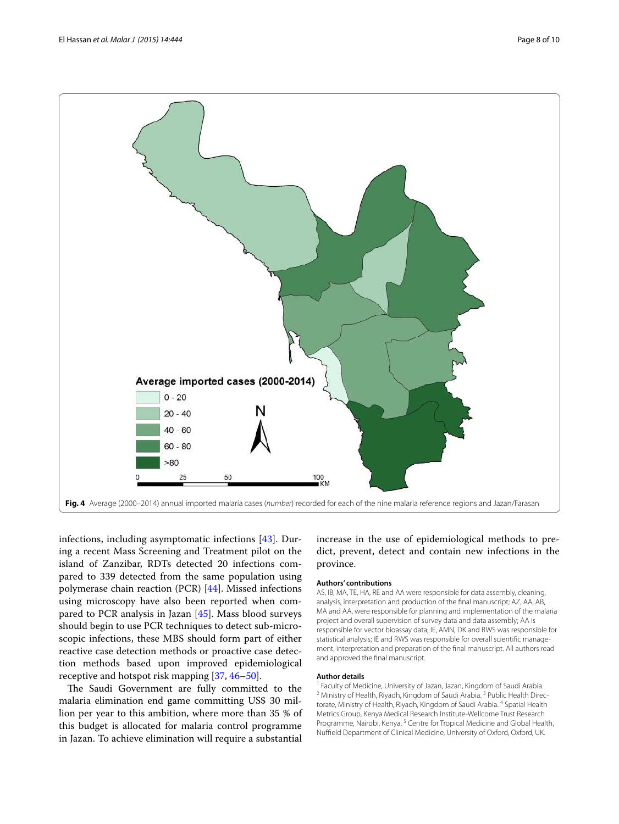

<span id="page-7-0"></span>infections, including asymptomatic infections [\[43](#page-8-36)]. During a recent Mass Screening and Treatment pilot on the island of Zanzibar, RDTs detected 20 infections compared to 339 detected from the same population using polymerase chain reaction (PCR) [[44\]](#page-9-0). Missed infections using microscopy have also been reported when compared to PCR analysis in Jazan [\[45](#page-9-1)]. Mass blood surveys should begin to use PCR techniques to detect sub-microscopic infections, these MBS should form part of either reactive case detection methods or proactive case detection methods based upon improved epidemiological receptive and hotspot risk mapping [[37](#page-8-30), [46–](#page-9-2)[50\]](#page-9-3).

The Saudi Government are fully committed to the malaria elimination end game committing US\$ 30 million per year to this ambition, where more than 35 % of this budget is allocated for malaria control programme in Jazan. To achieve elimination will require a substantial

increase in the use of epidemiological methods to predict, prevent, detect and contain new infections in the province.

#### **Authors' contributions**

AS, IB, MA, TE, HA, RE and AA were responsible for data assembly, cleaning, analysis, interpretation and production of the final manuscript; AZ, AA, AB, MA and AA, were responsible for planning and implementation of the malaria project and overall supervision of survey data and data assembly; AA is responsible for vector bioassay data; IE, AMN, DK and RWS was responsible for statistical analysis; IE and RWS was responsible for overall scientific management, interpretation and preparation of the final manuscript. All authors read and approved the final manuscript.

#### **Author details**

<sup>1</sup> Faculty of Medicine, University of Jazan, Jazan, Kingdom of Saudi Arabia. <sup>2</sup> Ministry of Health, Riyadh, Kingdom of Saudi Arabia.<sup>3</sup> Public Health Directorate, Ministry of Health, Riyadh, Kingdom of Saudi Arabia. <sup>4</sup> Spatial Health Metrics Group, Kenya Medical Research Institute-Wellcome Trust Research Programme, Nairobi, Kenya.<sup>5</sup> Centre for Tropical Medicine and Global Health, Nuffield Department of Clinical Medicine, University of Oxford, Oxford, UK.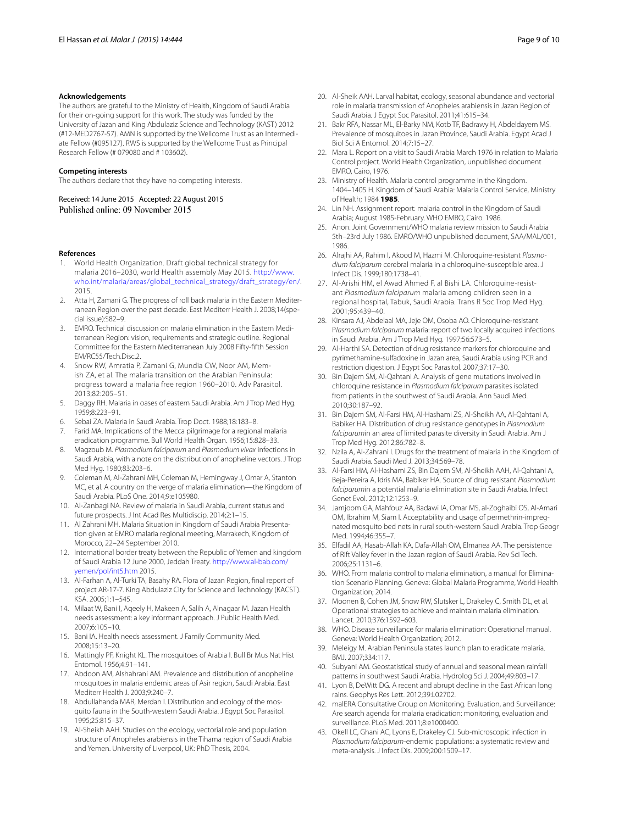#### **Acknowledgements**

The authors are grateful to the Ministry of Health, Kingdom of Saudi Arabia for their on-going support for this work. The study was funded by the University of Jazan and King Abdulaziz Science and Technology (KAST) 2012 (#12-MED2767-57). AMN is supported by the Wellcome Trust as an Intermediate Fellow (#095127). RWS is supported by the Wellcome Trust as Principal Research Fellow (# 079080 and # 103602).

#### **Competing interests**

The authors declare that they have no competing interests.

Received: 14 June 2015 Accepted: 22 August 2015<br>Published online: 09 November 2015

#### **References**

- <span id="page-8-0"></span> 1. World Health Organization. Draft global technical strategy for malaria 2016–2030, world Health assembly May 2015. [http://www.](http://www.who.int/malaria/areas/global_technical_strategy/draft_strategy/en/) [who.int/malaria/areas/global\\_technical\\_strategy/draft\\_strategy/en/.](http://www.who.int/malaria/areas/global_technical_strategy/draft_strategy/en/) 2015.
- <span id="page-8-1"></span> 2. Atta H, Zamani G. The progress of roll back malaria in the Eastern Mediterranean Region over the past decade. East Mediterr Health J. 2008;14(special issue):S82–9.
- 3. EMRO. Technical discussion on malaria elimination in the Eastern Mediterranean Region: vision, requirements and strategic outline. Regional Committee for the Eastern Mediterranean July 2008 Fifty-fifth Session EM/RC55/Tech.Disc.2.
- <span id="page-8-2"></span> 4. Snow RW, Amratia P, Zamani G, Mundia CW, Noor AM, Memish ZA, et al. The malaria transition on the Arabian Peninsula: progress toward a malaria free region 1960–2010. Adv Parasitol. 2013;82:205–51.
- <span id="page-8-3"></span> 5. Daggy RH. Malaria in oases of eastern Saudi Arabia. Am J Trop Med Hyg. 1959;8:223–91.
- <span id="page-8-4"></span>6. Sebai ZA. Malaria in Saudi Arabia. Trop Doct. 1988;18:183–8.
- <span id="page-8-5"></span> 7. Farid MA. Implications of the Mecca pilgrimage for a regional malaria eradication programme. Bull World Health Organ. 1956;15:828–33.
- <span id="page-8-6"></span> 8. Magzoub M. Plasmodium falciparum and Plasmodium vivax infections in Saudi Arabia, with a note on the distribution of anopheline vectors. J Trop Med Hyg. 1980;83:203–6.
- <span id="page-8-7"></span> 9. Coleman M, Al-Zahrani MH, Coleman M, Hemingway J, Omar A, Stanton MC, et al. A country on the verge of malaria elimination—the Kingdom of Saudi Arabia. PLoS One. 2014;9:e105980.
- <span id="page-8-8"></span> 10. Al-Zanbagi NA. Review of malaria in Saudi Arabia, current status and future prospects. J Int Acad Res Multidiscip. 2014;2:1–15.
- <span id="page-8-9"></span> 11. Al Zahrani MH. Malaria Situation in Kingdom of Saudi Arabia Presentation given at EMRO malaria regional meeting, Marrakech, Kingdom of Morocco, 22–24 September 2010.
- <span id="page-8-10"></span> 12. International border treaty between the Republic of Yemen and kingdom of Saudi Arabia 12 June 2000, Jeddah Treaty. [http://www.al-bab.com/](http://www.al-bab.com/yemen/pol/int5.htm) [yemen/pol/int5.htm](http://www.al-bab.com/yemen/pol/int5.htm) 2015.
- <span id="page-8-11"></span> 13. Al-Farhan A, Al-Turki TA, Basahy RA. Flora of Jazan Region, final report of project AR-17-7. King Abdulaziz City for Science and Technology (KACST). KSA. 2005;1:1–545.
- <span id="page-8-12"></span> 14. Milaat W, Bani I, Aqeely H, Makeen A, Salih A, Alnagaar M. Jazan Health needs assessment: a key informant approach. J Public Health Med. 2007;6:105–10.
- <span id="page-8-13"></span> 15. Bani IA. Health needs assessment. J Family Community Med. 2008;15:13–20.
- <span id="page-8-14"></span> 16. Mattingly PF, Knight KL. The mosquitoes of Arabia I. Bull Br Mus Nat Hist Entomol. 1956;4:91–141.
- 17. Abdoon AM, Alshahrani AM. Prevalence and distribution of anopheline mosquitoes in malaria endemic areas of Asir region, Saudi Arabia. East Mediterr Health J. 2003;9:240–7.
- 18. Abdullahanda MAR, Merdan I. Distribution and ecology of the mosquito fauna in the South-western Saudi Arabia. J Egypt Soc Parasitol. 1995;25:815–37.
- 19. Al-Sheikh AAH. Studies on the ecology, vectorial role and population structure of Anopheles arabiensis in the Tihama region of Saudi Arabia and Yemen. University of Liverpool, UK: PhD Thesis, 2004.
- 20. Al-Sheik AAH. Larval habitat, ecology, seasonal abundance and vectorial role in malaria transmission of Anopheles arabiensis in Jazan Region of Saudi Arabia. J Egypt Soc Parasitol. 2011;41:615–34.
- <span id="page-8-15"></span> 21. Bakr RFA, Nassar ML, El-Barky NM, Kotb TF, Badrawy H, Abdeldayem MS. Prevalence of mosquitoes in Jazan Province, Saudi Arabia. Egypt Acad J Biol Sci A Entomol. 2014;7:15–27.
- <span id="page-8-16"></span> 22. Mara L. Report on a visit to Saudi Arabia March 1976 in relation to Malaria Control project. World Health Organization, unpublished document EMRO, Cairo, 1976.
- <span id="page-8-17"></span> 23. Ministry of Health. Malaria control programme in the Kingdom. 1404–1405 H. Kingdom of Saudi Arabia: Malaria Control Service, Ministry of Health; 1984 **1985**.
- <span id="page-8-18"></span> 24. Lin NH. Assignment report: malaria control in the Kingdom of Saudi Arabia; August 1985-February. WHO EMRO, Cairo. 1986.
- <span id="page-8-19"></span> 25. Anon. Joint Government/WHO malaria review mission to Saudi Arabia 5th–23rd July 1986. EMRO/WHO unpublished document, SAA/MAL/001, 1986.
- <span id="page-8-20"></span> 26. Alrajhi AA, Rahim I, Akood M, Hazmi M. Chloroquine-resistant Plasmodium falciparum cerebral malaria in a chloroquine-susceptible area. J Infect Dis. 1999;180:1738–41.
- <span id="page-8-21"></span> 27. Al-Arishi HM, el Awad Ahmed F, al Bishi LA. Chloroquine-resistant Plasmodium falciparum malaria among children seen in a regional hospital, Tabuk, Saudi Arabia. Trans R Soc Trop Med Hyg. 2001;95:439–40.
- <span id="page-8-22"></span> 28. Kinsara AJ, Abdelaal MA, Jeje OM, Osoba AO. Chloroquine-resistant Plasmodium falciparum malaria: report of two locally acquired infections in Saudi Arabia. Am J Trop Med Hyg. 1997;56:573–5.
- <span id="page-8-23"></span> 29. Al-Harthi SA. Detection of drug resistance markers for chloroquine and pyrimethamine-sulfadoxine in Jazan area, Saudi Arabia using PCR and restriction digestion. J Egypt Soc Parasitol. 2007;37:17–30.
- 30. Bin Dajem SM, Al-Qahtani A. Analysis of gene mutations involved in chloroquine resistance in Plasmodium falciparum parasites isolated from patients in the southwest of Saudi Arabia. Ann Saudi Med. 2010;30:187–92.
- <span id="page-8-24"></span> 31. Bin Dajem SM, Al-Farsi HM, Al-Hashami ZS, Al-Sheikh AA, Al-Qahtani A, Babiker HA. Distribution of drug resistance genotypes in Plasmodium falciparumin an area of limited parasite diversity in Saudi Arabia. Am J Trop Med Hyg. 2012;86:782–8.
- <span id="page-8-25"></span> 32. Nzila A, Al-Zahrani I. Drugs for the treatment of malaria in the Kingdom of Saudi Arabia. Saudi Med J. 2013;34:569–78.
- <span id="page-8-26"></span> 33. Al-Farsi HM, Al-Hashami ZS, Bin Dajem SM, Al-Sheikh AAH, Al-Qahtani A, Beja-Pereira A, Idris MA, Babiker HA. Source of drug resistant Plasmodium falciparumin a potential malaria elimination site in Saudi Arabia. Infect Genet Evol. 2012;12:1253–9.
- <span id="page-8-27"></span> 34. Jamjoom GA, Mahfouz AA, Badawi IA, Omar MS, al-Zoghaibi OS, Al-Amari OM, Ibrahim M, Siam I. Acceptability and usage of permethrin-impregnated mosquito bed nets in rural south-western Saudi Arabia. Trop Geogr Med. 1994;46:355–7.
- <span id="page-8-28"></span> 35. Elfadil AA, Hasab-Allah KA, Dafa-Allah OM, Elmanea AA. The persistence of Rift Valley fever in the Jazan region of Saudi Arabia. Rev Sci Tech. 2006;25:1131–6.
- <span id="page-8-29"></span> 36. WHO. From malaria control to malaria elimination, a manual for Elimination Scenario Planning. Geneva: Global Malaria Programme, World Health Organization; 2014.
- <span id="page-8-30"></span> 37. Moonen B, Cohen JM, Snow RW, Slutsker L, Drakeley C, Smith DL, et al. Operational strategies to achieve and maintain malaria elimination. Lancet. 2010;376:1592–603.
- <span id="page-8-31"></span> 38. WHO. Disease surveillance for malaria elimination: Operational manual. Geneva: World Health Organization; 2012.
- <span id="page-8-32"></span> 39. Meleigy M. Arabian Peninsula states launch plan to eradicate malaria. BMJ. 2007;334:117.
- <span id="page-8-33"></span> 40. Subyani AM. Geostatistical study of annual and seasonal mean rainfall patterns in southwest Saudi Arabia. Hydrolog Sci J. 2004;49:803–17.
- <span id="page-8-34"></span> 41. Lyon B, DeWitt DG. A recent and abrupt decline in the East African long rains. Geophys Res Lett. 2012;39:L02702.
- <span id="page-8-35"></span> 42. malERA Consultative Group on Monitoring. Evaluation, and Surveillance: Are search agenda for malaria eradication: monitoring, evaluation and surveillance. PLoS Med. 2011;8:e1000400.
- <span id="page-8-36"></span> 43. Okell LC, Ghani AC, Lyons E, Drakeley CJ. Sub-microscopic infection in Plasmodium falciparum-endemic populations: a systematic review and meta-analysis. J Infect Dis. 2009;200:1509–17.